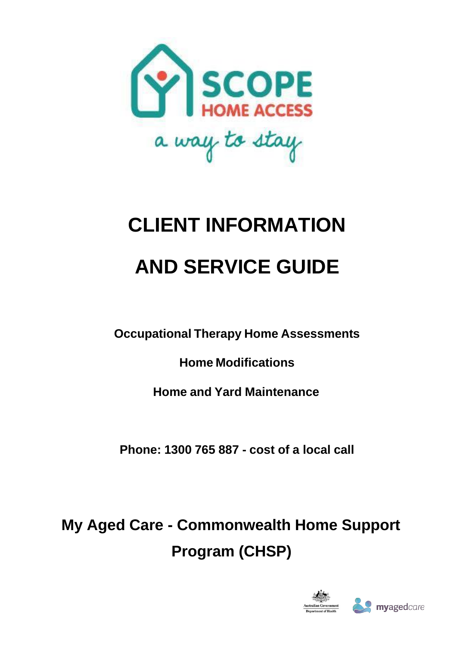

# **CLIENT INFORMATION AND SERVICE GUIDE**

**Occupational Therapy Home Assessments**

**Home Modifications**

**Home and Yard Maintenance**

**Phone: 1300 765 887 - cost of a local call**

**My Aged Care - Commonwealth Home Support Program (CHSP)**

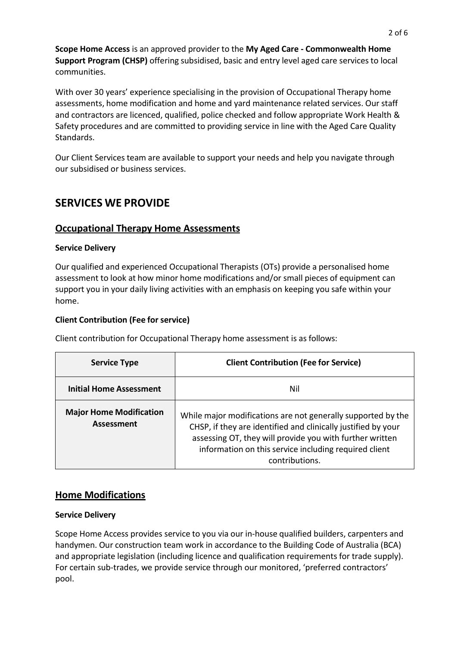**Scope Home Access** is an approved provider to the **My Aged Care - Commonwealth Home Support Program (CHSP)** offering subsidised, basic and entry level aged care services to local communities.

With over 30 years' experience specialising in the provision of Occupational Therapy home assessments, home modification and home and yard maintenance related services. Our staff and contractors are licenced, qualified, police checked and follow appropriate Work Health & Safety procedures and are committed to providing service in line with the Aged Care Quality Standards.

Our Client Services team are available to support your needs and help you navigate through our subsidised or business services.

## **SERVICES WE PROVIDE**

## **Occupational Therapy Home Assessments**

#### **Service Delivery**

Our qualified and experienced Occupational Therapists (OTs) provide a personalised home assessment to look at how minor home modifications and/or small pieces of equipment can support you in your daily living activities with an emphasis on keeping you safe within your home.

#### **Client Contribution (Fee for service)**

Client contribution for Occupational Therapy home assessment is as follows:

| <b>Service Type</b>                          | <b>Client Contribution (Fee for Service)</b>                                                                                                                                                                                                                         |
|----------------------------------------------|----------------------------------------------------------------------------------------------------------------------------------------------------------------------------------------------------------------------------------------------------------------------|
| <b>Initial Home Assessment</b>               | Nil                                                                                                                                                                                                                                                                  |
| <b>Major Home Modification</b><br>Assessment | While major modifications are not generally supported by the<br>CHSP, if they are identified and clinically justified by your<br>assessing OT, they will provide you with further written<br>information on this service including required client<br>contributions. |

## **Home Modifications**

## **Service Delivery**

Scope Home Access provides service to you via our in-house qualified builders, carpenters and handymen. Our construction team work in accordance to the Building Code of Australia (BCA) and appropriate legislation (including licence and qualification requirements for trade supply). For certain sub-trades, we provide service through our monitored, 'preferred contractors' pool.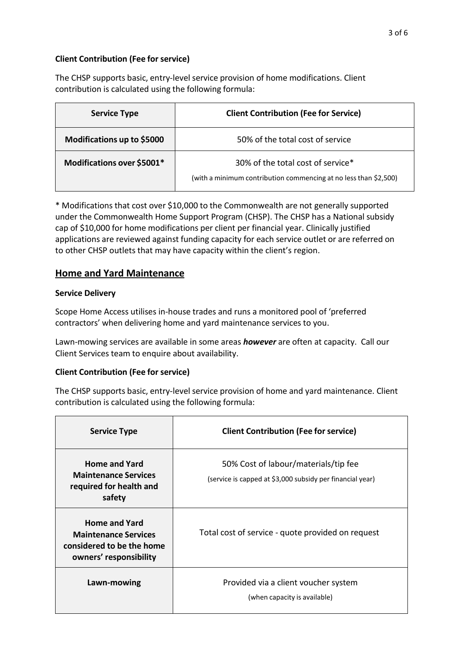## **Client Contribution (Fee for service)**

The CHSP supports basic, entry-level service provision of home modifications. Client contribution is calculated using the following formula:

| <b>Service Type</b>        | <b>Client Contribution (Fee for Service)</b>                                                          |
|----------------------------|-------------------------------------------------------------------------------------------------------|
| Modifications up to \$5000 | 50% of the total cost of service                                                                      |
| Modifications over \$5001* | 30% of the total cost of service*<br>(with a minimum contribution commencing at no less than \$2,500) |

\* Modifications that cost over \$10,000 to the Commonwealth are not generally supported under the Commonwealth Home Support Program (CHSP). The CHSP has a National subsidy cap of \$10,000 for home modifications per client per financial year. Clinically justified applications are reviewed against funding capacity for each service outlet or are referred on to other CHSP outlets that may have capacity within the client's region.

## **Home and Yard Maintenance**

## **Service Delivery**

Scope Home Access utilises in-house trades and runs a monitored pool of 'preferred contractors' when delivering home and yard maintenance services to you.

Lawn-mowing services are available in some areas *however* are often at capacity. Call our Client Services team to enquire about availability.

## **Client Contribution (Fee for service)**

The CHSP supports basic, entry-level service provision of home and yard maintenance. Client contribution is calculated using the following formula:

| <b>Service Type</b>                                                                                        | <b>Client Contribution (Fee for service)</b>                                                      |
|------------------------------------------------------------------------------------------------------------|---------------------------------------------------------------------------------------------------|
| <b>Home and Yard</b><br><b>Maintenance Services</b><br>required for health and<br>safety                   | 50% Cost of labour/materials/tip fee<br>(service is capped at \$3,000 subsidy per financial year) |
| <b>Home and Yard</b><br><b>Maintenance Services</b><br>considered to be the home<br>owners' responsibility | Total cost of service - quote provided on request                                                 |
| Lawn-mowing                                                                                                | Provided via a client voucher system<br>(when capacity is available)                              |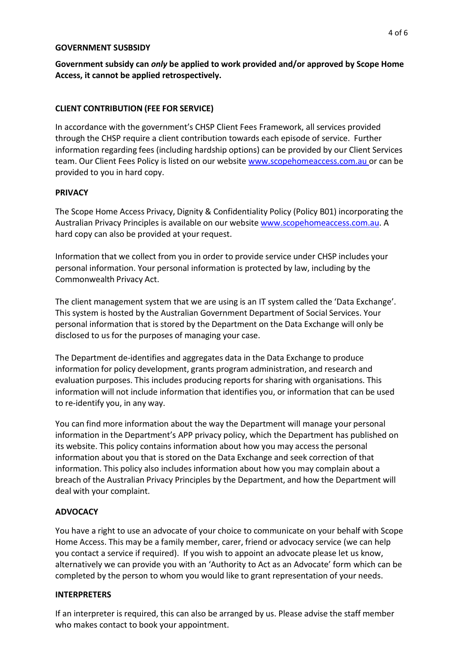#### **GOVERNMENT SUSBSIDY**

**Government subsidy can** *only* **be applied to work provided and/or approved by Scope Home Access, it cannot be applied retrospectively.**

#### **CLIENT CONTRIBUTION (FEE FOR SERVICE)**

In accordance with the government's CHSP Client Fees Framework, all services provided through the CHSP require a client contribution towards each episode of service. Further information regarding fees (including hardship options) can be provided by our Client Services team. Our Client Fees Policy is listed on our website [www.scopehomeaccess.com.au o](http://www.scopehomeaccess.com.au/)r can be provided to you in hard copy.

#### **PRIVACY**

The Scope Home Access Privacy, Dignity & Confidentiality Policy (Policy B01) incorporating the Australian Privacy Principles is available on our website [www.scopehomeaccess.com.au.](http://www.scopehomeaccess.com.au/) A hard copy can also be provided at your request.

Information that we collect from you in order to provide service under CHSP includes your personal information. Your personal information is protected by law, including by the Commonwealth Privacy Act.

The client management system that we are using is an IT system called the 'Data Exchange'. This system is hosted by the Australian Government Department of Social Services. Your personal information that is stored by the Department on the Data Exchange will only be disclosed to us for the purposes of managing your case.

The Department de-identifies and aggregates data in the Data Exchange to produce information for policy development, grants program administration, and research and evaluation purposes. This includes producing reports for sharing with organisations. This information will not include information that identifies you, or information that can be used to re-identify you, in any way.

You can find more information about the way the Department will manage your personal information in the Department's APP privacy policy, which the Department has published on its website. This policy contains information about how you may access the personal information about you that is stored on the Data Exchange and seek correction of that information. This policy also includes information about how you may complain about a breach of the Australian Privacy Principles by the Department, and how the Department will deal with your complaint.

## **ADVOCACY**

You have a right to use an advocate of your choice to communicate on your behalf with Scope Home Access. This may be a family member, carer, friend or advocacy service (we can help you contact a service if required). If you wish to appoint an advocate please let us know, alternatively we can provide you with an 'Authority to Act as an Advocate' form which can be completed by the person to whom you would like to grant representation of your needs.

#### **INTERPRETERS**

If an interpreter is required, this can also be arranged by us. Please advise the staff member who makes contact to book your appointment.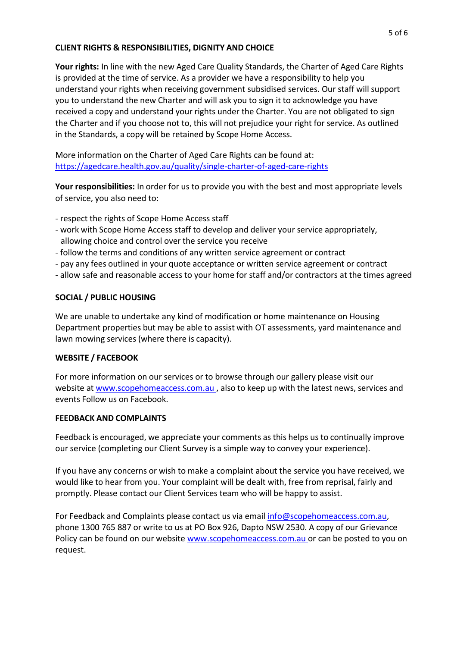#### **CLIENT RIGHTS & RESPONSIBILITIES, DIGNITY AND CHOICE**

**Your rights:** In line with the new Aged Care Quality Standards, the Charter of Aged Care Rights is provided at the time of service. As a provider we have a responsibility to help you understand your rights when receiving government subsidised services. Our staff will support you to understand the new Charter and will ask you to sign it to acknowledge you have received a copy and understand your rights under the Charter. You are not obligated to sign the Charter and if you choose not to, this will not prejudice your right for service. As outlined in the Standards, a copy will be retained by Scope Home Access.

More information on the Charter of Aged Care Rights can be found at: <https://agedcare.health.gov.au/quality/single-charter-of-aged-care-rights>

**Your responsibilities:** In order for us to provide you with the best and most appropriate levels of service, you also need to:

- respect the rights of Scope Home Access staff
- work with Scope Home Access staff to develop and deliver your service appropriately, allowing choice and control over the service you receive
- follow the terms and conditions of any written service agreement or contract
- pay any fees outlined in your quote acceptance or written service agreement or contract
- allow safe and reasonable access to your home for staff and/or contractors at the times agreed

#### **SOCIAL / PUBLIC HOUSING**

We are unable to undertake any kind of modification or home maintenance on Housing Department properties but may be able to assist with OT assessments, yard maintenance and lawn mowing services (where there is capacity).

#### **WEBSITE / FACEBOOK**

For more information on our services or to browse through our gallery please visit our website at [www.scopehomeaccess.com.au](http://www.scopehomeaccess.com.au/), also to keep up with the latest news, services and events Follow us on Facebook.

#### **FEEDBACK AND COMPLAINTS**

Feedback is encouraged, we appreciate your comments as this helps us to continually improve our service (completing our Client Survey is a simple way to convey your experience).

If you have any concerns or wish to make a complaint about the service you have received, we would like to hear from you. Your complaint will be dealt with, free from reprisal, fairly and promptly. Please contact our Client Services team who will be happy to assist.

For Feedback and Complaints please contact us via email [info@scopehomeaccess.com.au,](mailto:info@scopehomeaccess.com.au) phone 1300 765 887 or write to us at PO Box 926, Dapto NSW 2530. A copy of our Grievance Policy can be found on our website [www.scopehomeaccess.com.au](http://www.scopehomeaccess.com.au/) or can be posted to you on request.